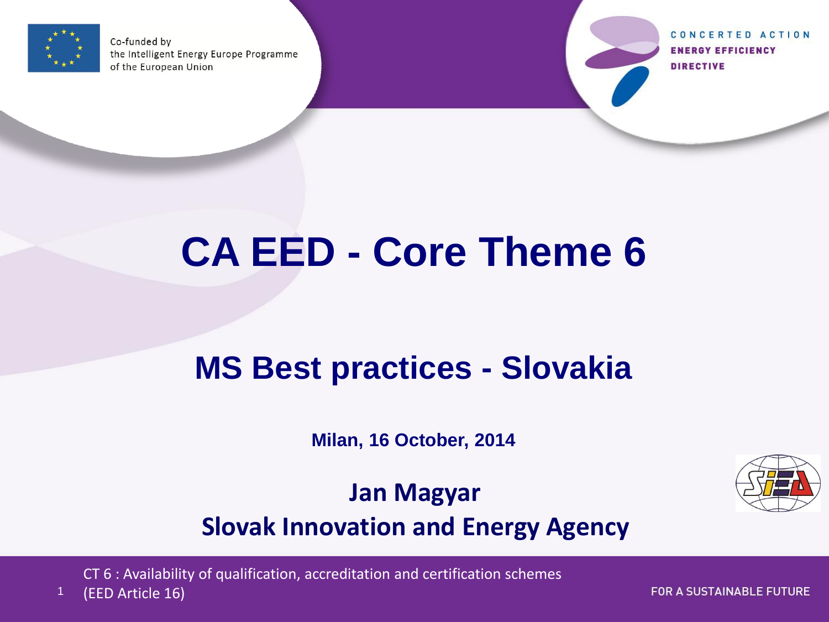

Co-funded by the Intelligent Energy Europe Programme of the European Union

CONCERTED ACTION **ENERGY EFFICIENCY DIRECTIVE** 

# **CA EED - Core Theme 6**

## **MS Best practices - Slovakia**

**Milan, 16 October, 2014**

**Jan Magyar Slovak Innovation and Energy Agency**

CT 6 : Availability of qualification, accreditation and certification schemes



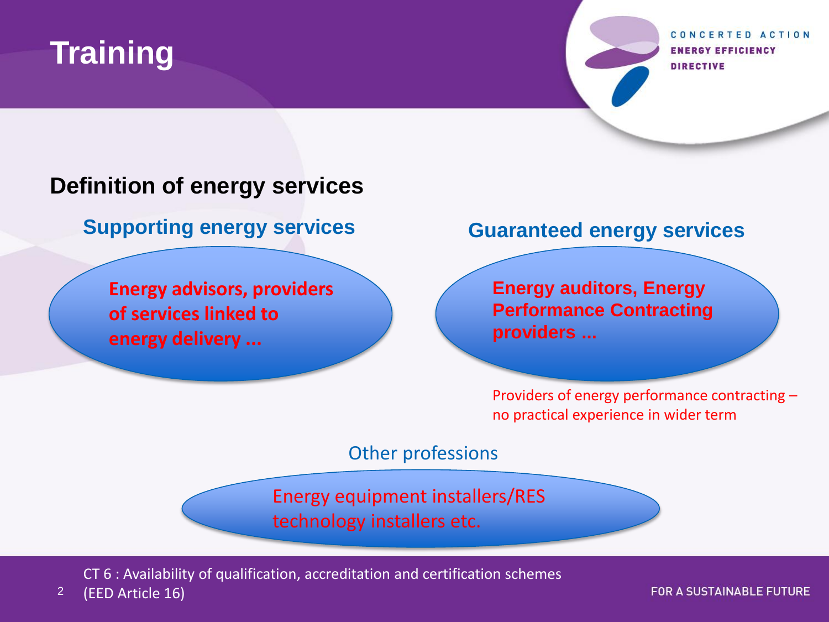

CONCERTED ACTION **ENERGY EFFICIENCY DIRECTIVE** 

#### **Definition of energy services**

**Supporting energy services Guaranteed energy services**

**Energy advisors, providers of services linked to energy delivery ...**

**Energy auditors, Energy Performance Contracting providers ...** 

Providers of energy performance contracting – no practical experience in wider term

Other professions

Energy equipment installers/RES technology installers etc.

CT 6 : Availability of qualification, accreditation and certification schemes

2 (EED Article 16)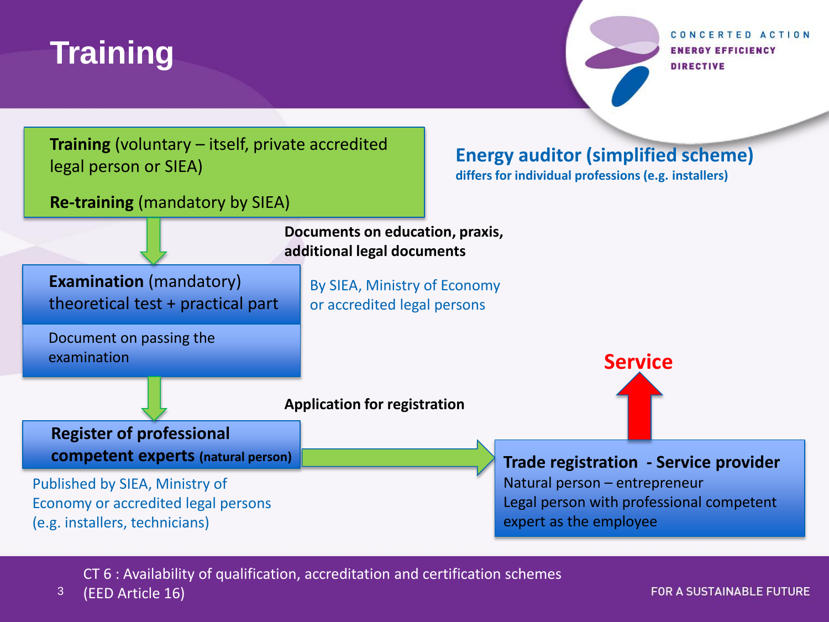### **Training**

CONCERTED ACTION **ENERGY EFFICIENCY DIRECTIVE** 



CT 6 : Availability of qualification, accreditation and certification schemes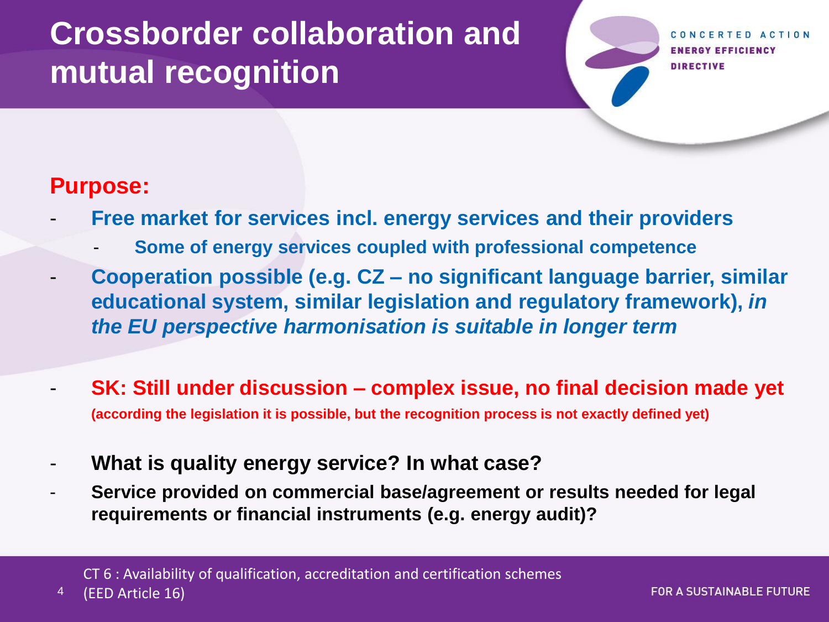**ENERGY EFFICIENCY DIRECTIVE** 

#### **Purpose:**

- **Free market for services incl. energy services and their providers**
	- **Some of energy services coupled with professional competence**
- **Cooperation possible (e.g. CZ – no significant language barrier, similar educational system, similar legislation and regulatory framework),** *in the EU perspective harmonisation is suitable in longer term*
- **SK: Still under discussion – complex issue, no final decision made yet (according the legislation it is possible, but the recognition process is not exactly defined yet)**
- **What is quality energy service? In what case?**
	- **Service provided on commercial base/agreement or results needed for legal requirements or financial instruments (e.g. energy audit)?**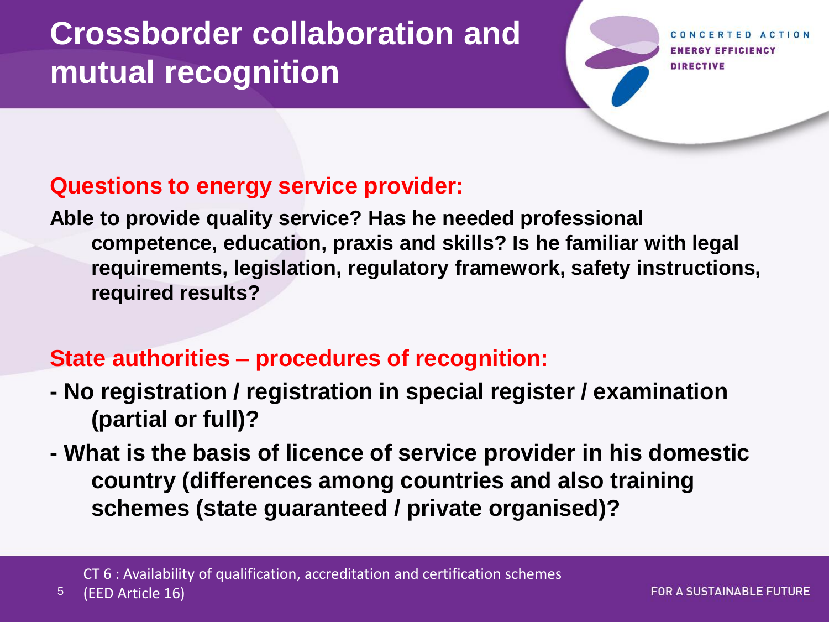**ENERGY EFFICIENCY DIRECTIVE** 

#### **Questions to energy service provider:**

**Able to provide quality service? Has he needed professional competence, education, praxis and skills? Is he familiar with legal requirements, legislation, regulatory framework, safety instructions, required results?**

#### **State authorities – procedures of recognition:**

- **- No registration / registration in special register / examination (partial or full)?**
- **- What is the basis of licence of service provider in his domestic country (differences among countries and also training schemes (state guaranteed / private organised)?**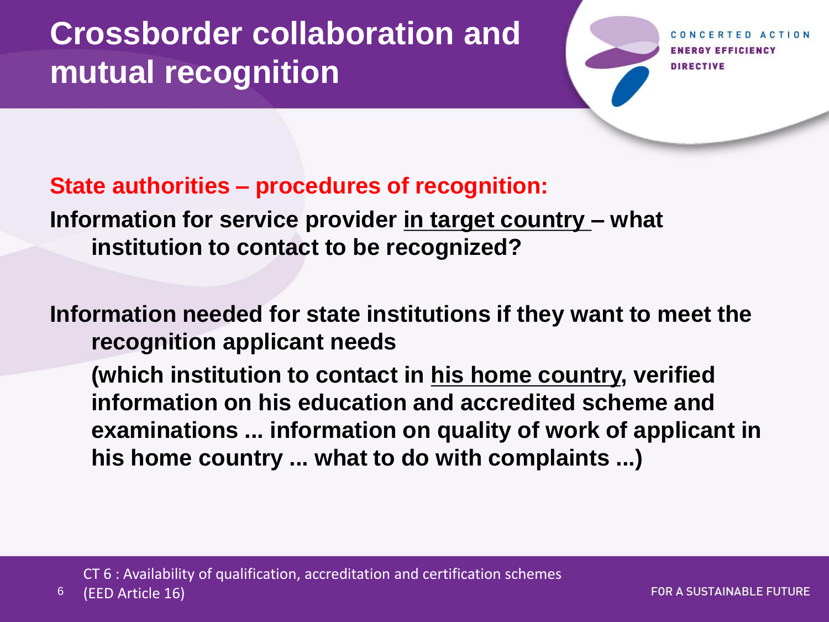**RGY EFFICIENCY DIRECTIVE** 

#### **State authorities – procedures of recognition:**

**Information for service provider in target country – what institution to contact to be recognized?**

**Information needed for state institutions if they want to meet the recognition applicant needs** 

**(which institution to contact in his home country, verified information on his education and accredited scheme and examinations ... information on quality of work of applicant in his home country ... what to do with complaints ...)**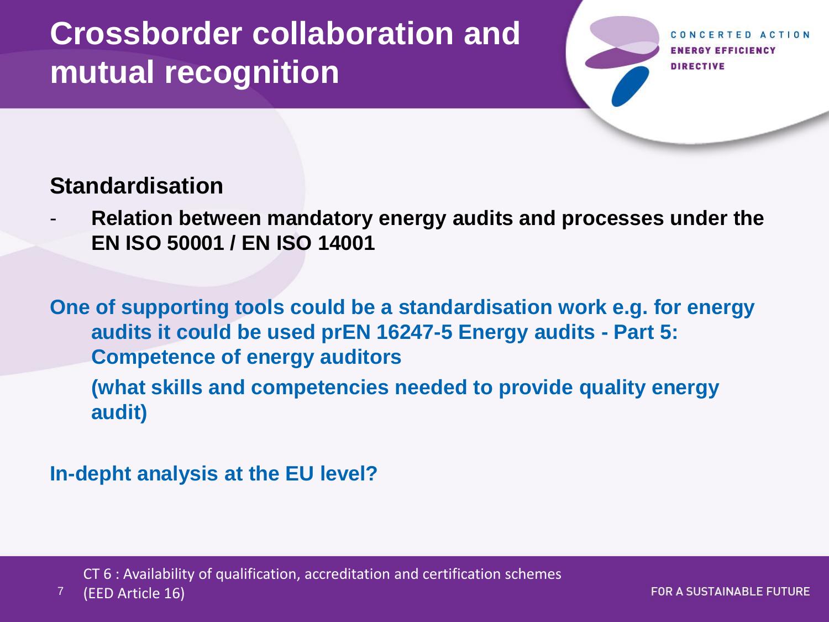**ENERGY EFFICIENCY DIRECTIVE** 

#### **Standardisation**

- **Relation between mandatory energy audits and processes under the EN ISO 50001 / EN ISO 14001**

**One of supporting tools could be a standardisation work e.g. for energy audits it could be used prEN 16247-5 Energy audits - Part 5: Competence of energy auditors**

**(what skills and competencies needed to provide quality energy audit)**

**In-depht analysis at the EU level?**

CT 6 : Availability of qualification, accreditation and certification schemes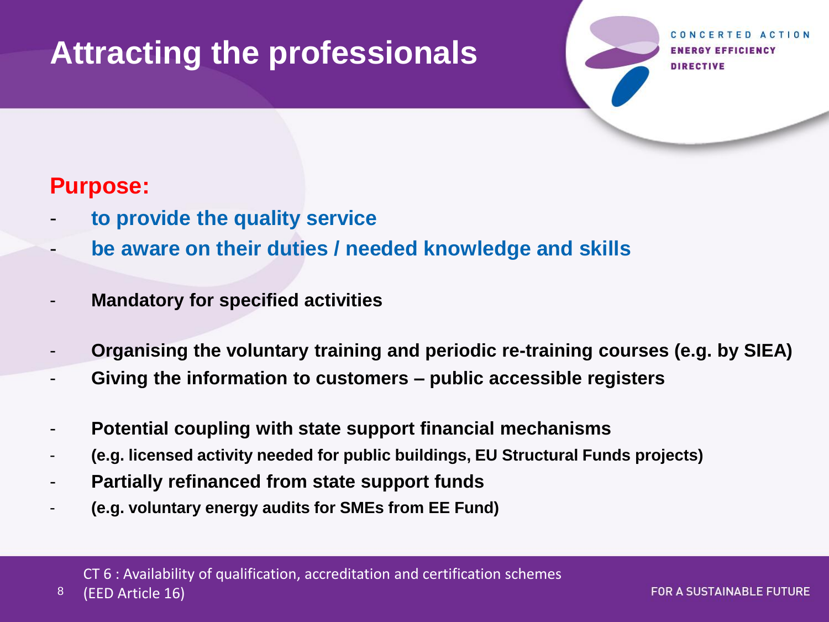### **Attracting the professionals**

RGY EFFICIENCY **DIRECTIVE** 

#### **Purpose:**

- **to provide the quality service**
- **be aware on their duties / needed knowledge and skills**
- **Mandatory for specified activities**
- **Organising the voluntary training and periodic re-training courses (e.g. by SIEA)**
- **Giving the information to customers – public accessible registers**
- **Potential coupling with state support financial mechanisms**
- **(e.g. licensed activity needed for public buildings, EU Structural Funds projects)**
- **Partially refinanced from state support funds**
- **(e.g. voluntary energy audits for SMEs from EE Fund)**

CT 6 : Availability of qualification, accreditation and certification schemes

8 (EED Article 16)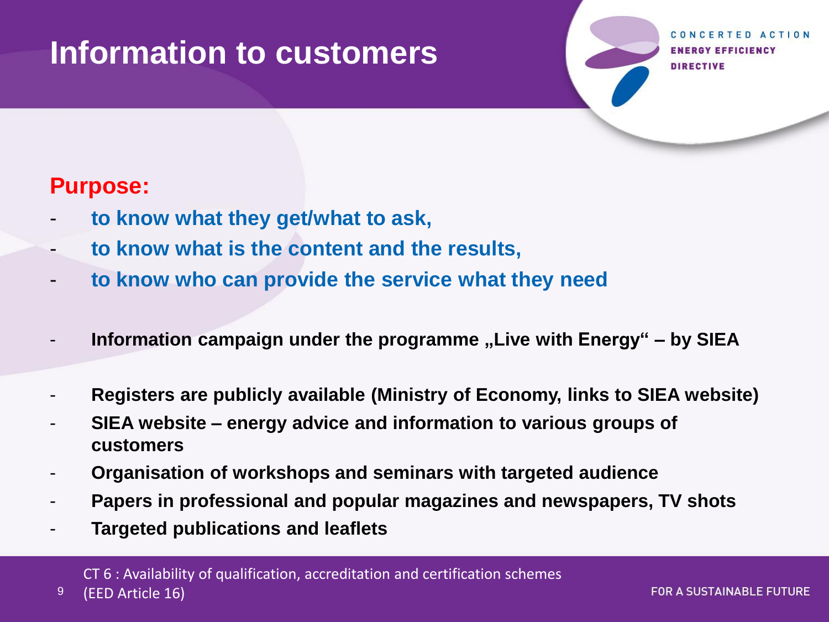### **Information to customers**

**GY EFFICIENCY DIRECTIVE** 

#### **Purpose:**

- **to know what they get/what to ask,**
- **to know what is the content and the results,**
- **to know who can provide the service what they need**
- **Information campaign under the programme "Live with Energy" – by SIEA**
- **Registers are publicly available (Ministry of Economy, links to SIEA website)**
- **SIEA website – energy advice and information to various groups of customers**
- **Organisation of workshops and seminars with targeted audience**
- **Papers in professional and popular magazines and newspapers, TV shots**
- **Targeted publications and leaflets**